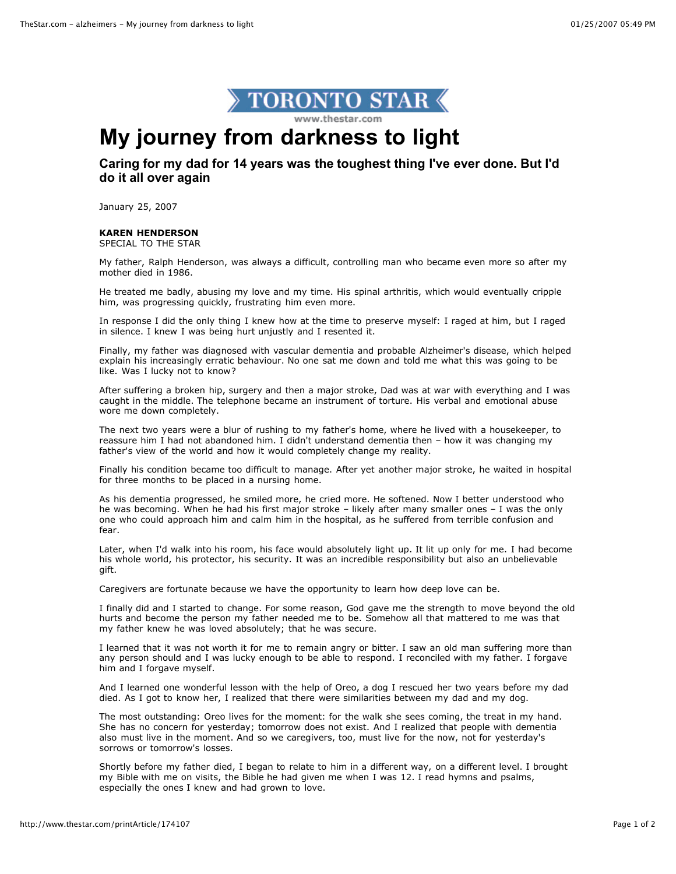

## **My journey from darkness to light**

## **Caring for my dad for 14 years was the toughest thing I've ever done. But I'd do it all over again**

January 25, 2007

## **KAREN HENDERSON**

SPECIAL TO THE STAR

My father, Ralph Henderson, was always a difficult, controlling man who became even more so after my mother died in 1986.

He treated me badly, abusing my love and my time. His spinal arthritis, which would eventually cripple him, was progressing quickly, frustrating him even more.

In response I did the only thing I knew how at the time to preserve myself: I raged at him, but I raged in silence. I knew I was being hurt unjustly and I resented it.

Finally, my father was diagnosed with vascular dementia and probable Alzheimer's disease, which helped explain his increasingly erratic behaviour. No one sat me down and told me what this was going to be like. Was I lucky not to know?

After suffering a broken hip, surgery and then a major stroke, Dad was at war with everything and I was caught in the middle. The telephone became an instrument of torture. His verbal and emotional abuse wore me down completely.

The next two years were a blur of rushing to my father's home, where he lived with a housekeeper, to reassure him I had not abandoned him. I didn't understand dementia then – how it was changing my father's view of the world and how it would completely change my reality.

Finally his condition became too difficult to manage. After yet another major stroke, he waited in hospital for three months to be placed in a nursing home.

As his dementia progressed, he smiled more, he cried more. He softened. Now I better understood who he was becoming. When he had his first major stroke – likely after many smaller ones – I was the only one who could approach him and calm him in the hospital, as he suffered from terrible confusion and fear.

Later, when I'd walk into his room, his face would absolutely light up. It lit up only for me. I had become his whole world, his protector, his security. It was an incredible responsibility but also an unbelievable gift.

Caregivers are fortunate because we have the opportunity to learn how deep love can be.

I finally did and I started to change. For some reason, God gave me the strength to move beyond the old hurts and become the person my father needed me to be. Somehow all that mattered to me was that my father knew he was loved absolutely; that he was secure.

I learned that it was not worth it for me to remain angry or bitter. I saw an old man suffering more than any person should and I was lucky enough to be able to respond. I reconciled with my father. I forgave him and I forgave myself.

And I learned one wonderful lesson with the help of Oreo, a dog I rescued her two years before my dad died. As I got to know her, I realized that there were similarities between my dad and my dog.

The most outstanding: Oreo lives for the moment: for the walk she sees coming, the treat in my hand. She has no concern for yesterday; tomorrow does not exist. And I realized that people with dementia also must live in the moment. And so we caregivers, too, must live for the now, not for yesterday's sorrows or tomorrow's losses.

Shortly before my father died, I began to relate to him in a different way, on a different level. I brought my Bible with me on visits, the Bible he had given me when I was 12. I read hymns and psalms, especially the ones I knew and had grown to love.